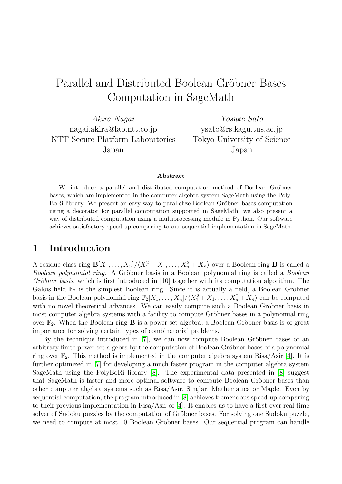# Parallel and Distributed Boolean Gröbner Bases Computation in SageMath

*Akira Nagai* nagai.akira@lab.ntt.co.jp NTT Secure Platform Laboratories Japan

*Yosuke Sato* ysato@rs.kagu.tus.ac.jp Tokyo University of Science Japan

#### **Abstract**

We introduce a parallel and distributed computation method of Boolean Gröbner bases, which are implemented in the computer algebra system SageMath using the Poly-BoRi library. We present an easy way to parallelize Boolean Gröbner bases computation using a decorator for parallel computation supported in SageMath, we also present a way of distributed computation using a multiprocessing module in Python. Our software achieves satisfactory speed-up comparing to our sequential implementation in SageMath.

### **1 Introduction**

A residue class ring  $\mathbf{B}[X_1, \ldots, X_n]/\langle X_1^2 + X_1, \ldots, X_n^2 + X_n \rangle$  over a Boolean ring **B** is called a *Boolean polynomial ring.* A Gröbner basis in a Boolean polynomial ring is called a *Boolean Gröbner basis*, which is first introduced in [10] together with its computation algorithm. The Galois field  $\mathbb{F}_2$  is the simplest Boolean ring. Since it is actually a field, a Boolean Gröbner basis in the Boolean polynomial ring  $\mathbb{F}_2[X_1, \ldots, X_n]/\langle X_1^2 + X_1, \ldots, X_n^2 + X_n \rangle$  can be computed with no novel theoretical advances. We ca[n ea](#page-9-0)sily compute such a Boolean Gröbner basis in most computer algebra systems with a facility to compute Gröbner bases in a polynomial ring over  $\mathbb{F}_2$ . When the Boolean ring **B** is a power set algebra, a Boolean Gröbner basis is of great importance for solving certain types of combinatorial problems.

By the technique introduced in  $[7]$ , we can now compute Boolean Gröbner bases of an arbitrary finite power set algebra by the computation of Boolean Gröbner bases of a polynomial ring over  $\mathbb{F}_2$ . This method is implemented in the computer algebra system Risa/Asir [4]. It is further optimized in [7] for developin[g](#page-9-1) a much faster program in the computer algebra system SageMath using the PolyBoRi library [8]. The experimental data presented in [8] suggest that SageMath is faster and more optimal software to compute Boolean Gröbner ba[ses](#page-8-0) than other computer alge[bra](#page-9-1) systems such as Risa/Asir, Singlar, Mathematica or Maple. Even by sequential computation, the program int[rod](#page-9-2)uced in [8] achieves tremendous speed-up [co](#page-9-2)mparing to their previous implementation in Risa/Asir of [4]. It enables us to have a first-ever real time solver of Sudoku puzzles by the computation of Gröbner bases. For solving one Sudoku puzzle, we need to compute at most 10 Boolean Gröbner [ba](#page-9-2)ses. Our sequential program can handle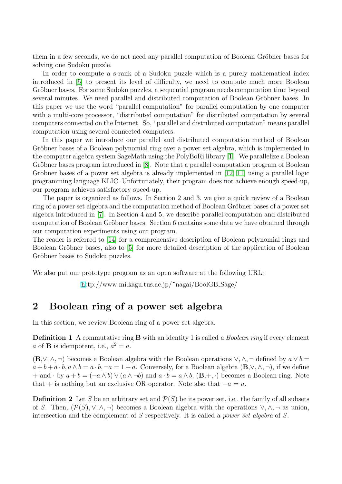them in a few seconds, we do not need any parallel computation of Boolean Gröbner bases for solving one Sudoku puzzle.

In order to compute a s-rank of a Sudoku puzzle which is a purely mathematical index introduced in [5] to present its level of difficulty, we need to compute much more Boolean Gröbner bases. For some Sudoku puzzles, a sequential program needs computation time beyond several minutes. We need parallel and distributed computation of Boolean Gröbner bases. In this paper we [use](#page-9-3) the word "parallel computation" for parallel computation by one computer with a multi-core processor, "distributed computation" for distributed computation by several computers connected on the Internet. So, "parallel and distributed computation" means parallel computation using several connected computers.

In this paper we introduce our parallel and distributed computation method of Boolean Gröbner bases of a Boolean polynomial ring over a power set algebra, which is implemented in the computer algebra system SageMath using the PolyBoRi library [1]. We parallelize a Boolean Gröbner bases program introduced in  $[8]$ . Note that a parallel computation program of Boolean Gröbner bases of a power set algebra is already implemented in  $[12, 11]$  using a parallel logic programming language KLIC. Unfortunately, their program does n[ot](#page-8-1) achieve enough speed-up, our program achieves satisfactory spe[ed](#page-9-2)-up.

The paper is organized as follows. In Section 2 and 3, we give [a](#page-9-4) [quic](#page-9-5)k review of a Boolean ring of a power set algebra and the computation method of Boolean Gröbner bases of a power set algebra introduced in [7]. In Section 4 and 5, we describe parallel computation and distributed computation of Boolean Gröbner bases. Section 6 contains some data we have obtained through our computation experiments using our program.

The reader is referred [to](#page-9-1) [14] for a comprehensive description of Boolean polynomial rings and Boolean Gröbner bases, also to [5] for more detailed description of the application of Boolean Gröbner bases to Sudoku puzzles.

We also put our prototyp[e p](#page-9-6)rog[ram](#page-9-3) as an open software at the following URL:

http://www.mi.kagu.tus.ac.jp/~nagai/BoolGB Sage/

### **2 Boole[an](h) ring of a power set algebra**

In this section, we review Boolean ring of a power set algebra.

**Definition 1** A commutative ring **B** with an identity 1 is called *a Boolean ring* if every element  $a$  of **B** is idempotent, i.e.,  $a^2 = a$ .

 $(\mathbf{B}, \vee, \wedge, \neg)$  becomes a Boolean algebra with the Boolean operations  $\vee, \wedge, \neg$  defined by  $a \vee b =$  $a+b+a\cdot b, a\wedge b=a\cdot b, \neg a=1+a$ . Conversely, for a Boolean algebra  $(\mathbf{B},\vee,\wedge,\neg)$ , if we define + and  $\cdot$  by  $a + b = (\neg a \land b) \lor (a \land \neg b)$  and  $a \cdot b = a \land b$ ,  $(\mathbf{B}, +, \cdot)$  becomes a Boolean ring. Note that + is nothing but an exclusive OR operator. Note also that  $-a = a$ .

**Definition 2** Let *S* be an arbitrary set and  $\mathcal{P}(S)$  be its power set, i.e., the family of all subsets of *S*. Then,  $(\mathcal{P}(S), \vee, \wedge, \neg)$  becomes a Boolean algebra with the operations  $\vee, \wedge, \neg$  as union, intersection and the complement of *S* respectively. It is called a *power set algebra* of *S*.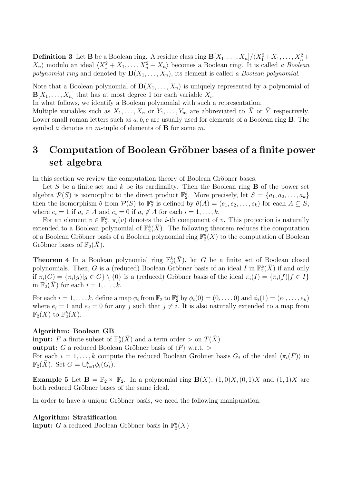**Definition 3** Let **B** be a Boolean ring. A residue class ring  $\mathbf{B}[X_1,\ldots,X_n]/\langle X_1^2+X_1,\ldots,X_n^2+X_1^2\rangle$  $X_n$  modulo an ideal  $\langle X_1^2 + X_1, \ldots, X_n^2 + X_n \rangle$  becomes a Boolean ring. It is called *a Boolean polynomial ring* and denoted by  $\mathbf{B}(X_1, \ldots, X_n)$ , its element is called *a Boolean polynomial*.

Note that a Boolean polynomial of  $\mathbf{B}(X_1, \ldots, X_n)$  is uniquely represented by a polynomial of  $\mathbf{B}[X_1,\ldots,X_n]$  that has at most degree 1 for each variable  $X_i$ .

In what follows, we identify a Boolean polynomial with such a representation.

Multiple variables such as  $X_1, \ldots, X_n$  or  $Y_1, \ldots, Y_m$  are abbreviated to  $\bar{X}$  or  $\bar{Y}$  respectively. Lower small roman letters such as *a, b, c* are usually used for elements of a Boolean ring **B**. The symbol  $\bar{a}$  denotes an *m*-tuple of elements of **B** for some *m*.

# **3** Computation of Boolean Gröbner bases of a finite power **set algebra**

In this section we review the computation theory of Boolean Gröbner bases.

Let  $S$  be a finite set and  $k$  be its cardinality. Then the Boolean ring  $B$  of the power set algebra  $\mathcal{P}(S)$  is isomorphic to the direct product  $\mathbb{F}_2^k$ . More precisely, let  $S = \{a_1, a_2, \ldots, a_k\}$ then the isomorphism  $\theta$  from  $\mathcal{P}(S)$  to  $\mathbb{F}_2^k$  is defined by  $\theta(A) = (e_1, e_2, \ldots, e_k)$  for each  $A \subseteq S$ , where  $e_i = 1$  if  $a_i \in A$  and  $e_i = 0$  if  $a_i \notin A$  for each  $i = 1, \ldots, k$ .

For an element  $v \in \mathbb{F}_2^k$ ,  $\pi_i(v)$  denotes the *i*-th component of *v*. This projection is naturally extended to a Boolean polynomial of  $\mathbb{F}_2^k(\bar{X})$ . The following theorem reduces the computation of a Boolean Gröbner basis of a Boolean polynomial ring  $\mathbb{F}_2^{\vec{k}}(\bar{X})$  to the computation of Boolean Gröbner bases of  $\mathbb{F}_2(X)$ .

**Theorem 4** In a Boolean polynomial ring  $\mathbb{F}_2^k(\bar{X})$ , let *G* be a finite set of Boolean closed polynomials. Then, *G* is a (reduced) Boolean Gröbner basis of an ideal *I* in  $\mathbb{F}_2^k(\bar{X})$  if and only if  $\pi_i(G) = {\pi_i(g) | g \in G} \setminus \{0\}$  is a (reduced) Gröbner basis of the ideal  $\pi_i(I) = {\pi_i(f) | f \in I}$ in  $\mathbb{F}_2(\bar{X})$  for each  $i = 1, \ldots, k$ .

For each  $i = 1, \ldots, k$ , define a map  $\phi_i$  from  $\mathbb{F}_2$  to  $\mathbb{F}_2^k$  by  $\phi_i(0) = (0, \ldots, 0)$  and  $\phi_i(1) = (e_1, \ldots, e_k)$ where  $e_i = 1$  and  $e_j = 0$  for any *j* such that  $j \neq i$ . It is also naturally extended to a map from  $\mathbb{F}_2(\bar{X})$  to  $\mathbb{F}_2^k(\bar{X})$ .

#### **Algorithm: Boolean GB**

**input:**  $F$  a finite subset of  $\mathbb{F}_2^k(\bar{X})$  and a term order  $>$  on  $T(\bar{X})$ **output:** *G* a reduced Boolean Gröbner basis of  $\langle F \rangle$  w.r.t. > For each  $i = 1, \ldots, k$  compute the reduced Boolean Gröbner basis  $G_i$  of the ideal  $\langle \pi_i(F) \rangle$  in  $\mathbb{F}_2(\bar{X})$ . Set  $G = \bigcup_{i=1}^k \phi_i(G_i)$ .

**Example 5** Let  $\mathbf{B} = \mathbb{F}_2 \times \mathbb{F}_2$ . In a polynomial ring  $\mathbf{B}(X)$ ,  $(1,0)X$ ,  $(0,1)X$  and  $(1,1)X$  are both reduced Gröbner bases of the same ideal.

In order to have a unique Gröbner basis, we need the following manipulation.

#### **Algorithm: Stratification**

**input:** *G* a reduced Boolean Gröbner basis in  $\mathbb{F}_2^k(\bar{X})$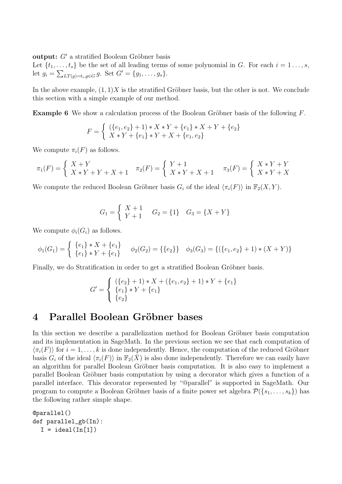**output:**  $G'$  a stratified Boolean Gröbner basis

Let  $\{t_1, \ldots, t_s\}$  be the set of all leading terms of some polynomial in *G*. For each  $i = 1 \ldots, s$ , let  $g_i = \sum_{LT(g)=t_i,g \in G} g$ . Set  $G' = \{g_1, \ldots, g_s\}.$ 

In the above example,  $(1,1)X$  is the stratified Gröbner basis, but the other is not. We conclude this section with a simple example of our method.

**Example 6** We show a calculation process of the Boolean Gröbner basis of the following F.

$$
F = \begin{cases} (\{e_1, e_2\} + 1) * X * Y + \{e_1\} * X + Y + \{e_2\} \\ X * Y + \{e_1\} * Y + X + \{e_1, e_2\} \end{cases}
$$

We compute  $\pi_i(F)$  as follows.

$$
\pi_1(F) = \begin{cases} X + Y \\ X * Y + Y + X + 1 \end{cases} \quad \pi_2(F) = \begin{cases} Y + 1 \\ X * Y + X + 1 \end{cases} \quad \pi_3(F) = \begin{cases} X * Y + Y \\ X * Y + X \end{cases}
$$

We compute the reduced Boolean Gröbner basis  $G_i$  of the ideal  $\langle \pi_i(F) \rangle$  in  $\mathbb{F}_2(X, Y)$ .

$$
G_1 = \begin{cases} X+1 & G_2 = \{1\} & G_3 = \{X+Y\} \\ Y+1 & \end{cases}
$$

We compute  $\phi_i(G_i)$  as follows.

$$
\phi_1(G_1) = \begin{cases} \{e_1\} * X + \{e_1\} \\ \{e_1\} * Y + \{e_1\} \end{cases} \phi_2(G_2) = \{\{e_2\}\} \phi_3(G_3) = \{(\{e_1, e_2\} + 1) * (X + Y)\}
$$

Finally, we do Stratification in order to get a stratified Boolean Gröbner basis.

$$
G' = \begin{cases} (\{e_2\} + 1) * X + (\{e_1, e_2\} + 1) * Y + \{e_1\} \\ \{e_1\} * Y + \{e_1\} \\ \{e_2\} \end{cases}
$$

### **4 Parallel Boolean Gr¨obner bases**

In this section we describe a parallelization method for Boolean Gröbner basis computation and its implementation in SageMath. In the previous section we see that each computation of  $\langle \pi_i(F) \rangle$  for  $i = 1, \ldots, k$  is done independently. Hence, the computation of the reduced Gröbner basis  $G_i$  of the ideal  $\langle \pi_i(F) \rangle$  in  $\mathbb{F}_2(X)$  is also done independently. Therefore we can easily have an algorithm for parallel Boolean Gröbner basis computation. It is also easy to implement a parallel Boolean Gröbner basis computation by using a decorator which gives a function of a parallel interface. This decorator represented by "@parallel" is supported in SageMath. Our program to compute a Boolean Gröbner basis of a finite power set algebra  $\mathcal{P}(\{s_1, \ldots, s_k\})$  has the following rather simple shape.

```
@parallel()
def parallel_gb(In):
  I = ideal(In[1])
```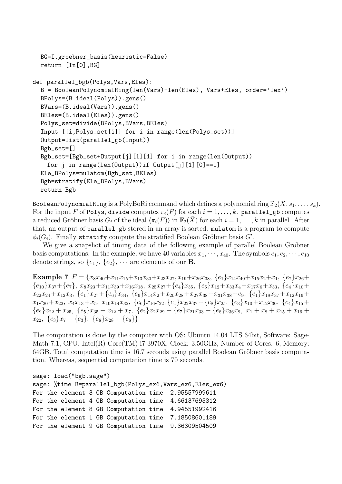```
BG=I.groebner_basis(heuristic=False)
  return [In[0],BG]
def parallel_bgb(Polys,Vars,Eles):
  B = BooleanPolynomialRing(len(Vars)+len(Eles), Vars+Eles, order='lex')
  BPolys=(B.ideal(Polys)).gens()
  BVars=(B.ideal(Vars)).gens()
  BEles=(B.ideal(Eles)).gens()
  Polys_set=divide(BPolys, BVars, BEles)
  Input=[[i,Polys_set[i]] for i in range(len(Polys_set))]
  Output=list(parallel_gb(Input))
  Bgb_set=[]
  Bgb_set=[Bgb_set+Output[j][1][1] for i in range(len(Output))
    for j in range(len(Output))if Output[j][1][0]==i]
  Ele_BPolys=mulatom(Bgb_set,BEles)
  Bgb=stratify(Ele_BPolys,BVars)
  return Bgb
```
BooleanPolynomialRing is a  $\text{PolyBoRi}$  command which defines a polynomial ring  $\mathbb{F}_2(\bar{X}, s_1, \ldots, s_k).$ For the input *F* of Polys, divide computes  $\pi_i(F)$  for each  $i = 1, \ldots, k$ . parallel\_gb computes a reduced Gröbner basis  $G_i$  of the ideal  $\langle \pi_i(F) \rangle$  in  $\mathbb{F}_2(\bar{X})$  for each  $i = 1, \ldots, k$  in parallel. After that, an output of parallel\_gb stored in an array is sorted. mulatom is a program to compute  $\phi_i(G_i)$ . Finally stratify compute the stratified Boolean Gröbner basis  $G'$ .

We give a snapshot of timing data of the following example of parallel Boolean Gröbner basis computations. In the example, we have 40 variables  $x_1, \dots, x_{40}$ . The symbols  $e_1, e_2, \dots, e_{10}$ denote strings, so  $\{e_1\}$ ,  $\{e_2\}$ ,  $\cdots$  are elements of our **B**.

**Example 7**  $F = \{x_8x_{40} + x_{11}x_{15} + x_{13}x_{30} + x_{23}x_{27}, x_{19} + x_{26}x_{38}, \{e_1\}x_{14}x_{40} + x_{15}x_{2} + x_{1}, \{e_7\}x_{26} +$  ${e_{10}}x_{37}+{e_7}, x_8x_{23}+x_{11}x_{39}+x_{16}x_{18}, x_{25}x_{27}+{e_4}x_{35}, {e_5}x_{12}+x_{33}x_4+x_{17}x_6+x_{33}, {e_4}x_{10}+$  $x_{22}x_{24} + x_{12}x_3$ ,  $\{e_1\}x_{27} + \{e_6\}x_{34}$ ,  $\{e_6\}x_{14}x_2 + x_{20}x_{28} + x_{27}x_{38} + x_{31}x_{38} + e_9$ ,  $\{e_1\}x_{18}x_{37} + x_{12}x_{16} +$  $x_1x_{20} + x_{22}, x_4x_{13} + x_5, x_{10}x_{14}x_{32}, \{e_6\}x_{16}x_{22}, \{e_1\}x_{22}x_{37} + \{e_8\}x_{25}, \{e_3\}x_{10} + x_{12}x_{30}, \{e_4\}x_{15} +$  ${e_9}x_{22} + x_{25}$ ,  ${e_5}x_{35} + x_{12} + x_7$ ,  ${e_2}x_{23} + {e_7}x_{21}x_{33} + {e_8}x_{36}x_9$ ,  $x_1 + x_8 + x_{15} + x_{16}$  $x_{22}$ ,  $\{e_3\}x_7 + \{e_3\}$ ,  $\{e_8\}x_{28} + \{e_8\}$ 

The computation is done by the computer with OS: Ubuntu 14.04 LTS 64bit, Software: Sage-Math 7.1, CPU: Intel(R) Core(TM) i7-3970X, Clock: 3.50GHz, Number of Cores: 6, Memory:  $64GB$ . Total computation time is  $16.7$  seconds using parallel Boolean Gröbner basis computation. Whereas, sequential computation time is 70 seconds.

```
sage: load("bgb.sage")
sage: %time B=parallel_bgb(Polys_ex6,Vars_ex6,Eles_ex6)
For the element 3 GB Computation time 2.95557999611
For the element 4 GB Computation time 4.66137695312
For the element 8 GB Computation time 4.94551992416
For the element 1 GB Computation time 7.18508601189
For the element 9 GB Computation time 9.36309504509
```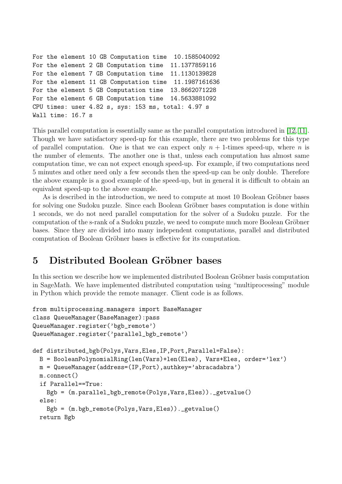```
For the element 10 GB Computation time 10.1585040092
For the element 2 GB Computation time 11.1377859116
For the element 7 GB Computation time 11.1130139828
For the element 11 GB Computation time 11.1987161636
For the element 5 GB Computation time 13.8662071228
For the element 6 GB Computation time 14.5633881092
CPU times: user 4.82 s, sys: 153 ms, total: 4.97 s
Wall time: 16.7 s
```
This parallel computation is essentially same as the parallel computation introduced in [12, 11]. Though we have satisfactory speed-up for this example, there are two problems for this type of parallel computation. One is that we can expect only  $n + 1$ -times speed-up, where *n* is the number of elements. The another one is that, unless each computation has almo[st s](#page-9-4)[am](#page-9-5)e computation time, we can not expect enough speed-up. For example, if two computations need 5 minutes and other need only a few seconds then the speed-up can be only double. Therefore the above example is a good example of the speed-up, but in general it is difficult to obtain an equivalent speed-up to the above example.

As is described in the introduction, we need to compute at most 10 Boolean Gröbner bases for solving one Sudoku puzzle. Since each Boolean Gröbner bases computation is done within 1 seconds, we do not need parallel computation for the solver of a Sudoku puzzle. For the computation of the s-rank of a Sudoku puzzle, we need to compute much more Boolean Gröbner bases. Since they are divided into many independent computations, parallel and distributed computation of Boolean Gröbner bases is effective for its computation.

# **5** Distributed Boolean Gröbner bases

In this section we describe how we implemented distributed Boolean Gröbner basis computation in SageMath. We have implemented distributed computation using "multiprocessing" module in Python which provide the remote manager. Client code is as follows.

```
from multiprocessing.managers import BaseManager
class QueueManager(BaseManager):pass
QueueManager.register('bgb_remote')
QueueManager.register('parallel_bgb_remote')
def distributed_bgb(Polys,Vars,Eles,IP,Port,Parallel=False):
 B = BooleanPolynomialRing(len(Vars)+len(Eles), Vars+Eles, order='lex')
 m = QueueManager(address=(IP,Port),authkey='abracadabra')
 m.connect()
  if Parallel==True:
   Bgb = (m.parallel_bgb_remote(Polys,Vars,Eles))._getvalue()
 else:
    Bgb = (m.bgb_remote(Polys,Vars,Eles))._getvalue()
 return Bgb
```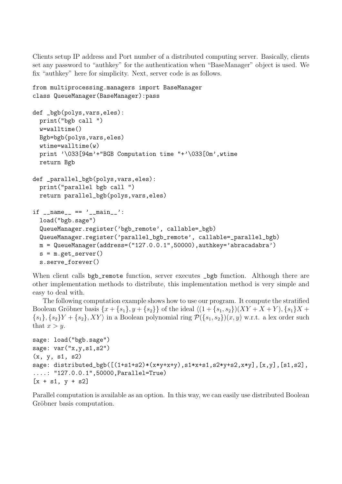Clients setup IP address and Port number of a distributed computing server. Basically, clients set any password to "authkey" for the authentication when "BaseManager" object is used. We fix "authkey" here for simplicity. Next, server code is as follows.

```
from multiprocessing.managers import BaseManager
class QueueManager(BaseManager):pass
def _bgb(polys,vars,eles):
 print("bgb call ")
 w=walltime()
 Bgb=bgb(polys,vars,eles)
  wtime=walltime(w)
 print '\033[94m'+"BGB Computation time "+'\033[0m',wtime
 return Bgb
def _parallel_bgb(polys,vars,eles):
  print("parallel bgb call ")
 return parallel_bgb(polys,vars,eles)
if __name__ == ' __main__':
  load("bgb.sage")
  QueueManager.register('bgb_remote', callable=_bgb)
  QueueManager.register('parallel_bgb_remote', callable=_parallel_bgb)
 m = QueueManager(address=("127.0.0.1",50000),authkey='abracadabra')
  s = m.get_server()
  s.serve_forever()
```
When client calls bgb\_remote function, server executes \_bgb function. Although there are other implementation methods to distribute, this implementation method is very simple and easy to deal with.

The following computation example shows how to use our program. It compute the stratified Boolean Gröbner basis  $\{x + \{s_1\}, y + \{s_2\}\}\$  of the ideal  $\langle (1 + \{s_1, s_2\}) (XY + X + Y), \{s_1\} X +$  $\{s_1\}, \{s_2\}Y + \{s_2\}, XY\rangle$  in a Boolean polynomial ring  $\mathcal{P}(\{s_1, s_2\})(x, y)$  w.r.t. a lex order such that  $x > y$ .

```
sage: load("bgb.sage")
sage: var("x,y,s1,s2")
(x, y, s1, s2)sage: distributed_bgb([(1+s1+s2)*(x*y+x+y),s1*x+s1,s2*y+s2,x*y],[x,y],[s1,s2],
....: "127.0.0.1",50000,Parallel=True)
[x + s1, y + s2]
```
Parallel computation is available as an option. In this way, we can easily use distributed Boolean Gröbner basis computation.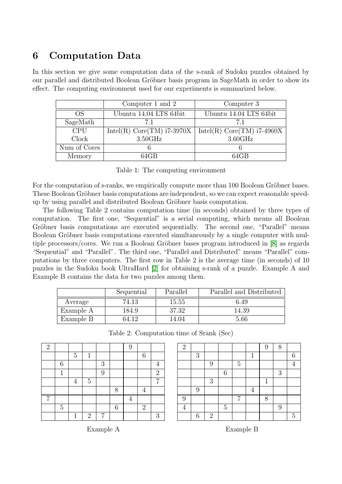# **6 Computation Data**

In this section we give some computation data of the s-rank of Sudoku puzzles obtained by our parallel and distributed Boolean Gröbner basis program in SageMath in order to show its effect. The computing environment used for our experiments is summarized below.

|              | Computer 1 and 2             | Computer 3                   |  |  |
|--------------|------------------------------|------------------------------|--|--|
| OS           | Ubuntu 14.04 LTS 64bit       | Ubuntu 14.04 LTS 64bit       |  |  |
| SageMath     | 71                           | 71                           |  |  |
| <b>CPU</b>   | Intel(R) $Core(TM)$ i7-3970X | Intel(R) $Core(TM)$ i7-4960X |  |  |
| Clock        | 3.50GHz                      | $3.60$ GHz                   |  |  |
| Num of Cores |                              |                              |  |  |
| Memory       | $64$ GB                      | $64$ GB                      |  |  |

Table 1: The computing environment

For the computation of s-ranks, we empirically compute more than 100 Boolean Gröbner bases. These Boolean Gröbner basis computations are independent, so we can expect reasonable speedup by using parallel and distributed Boolean Gröbner basis computation.

The following Table 2 contains computation time (in seconds) obtained by three types of computation. The first one, "Sequential" is a serial computing, which means all Boolean Gröbner basis computations are executed sequentially. The second one, "Parallel" means Boolean Gröbner basis computations executed simultaneously by a single computer with multiple processors/cores. We run a Boolean Gröbner bases program introduced in  $[8]$  as regards "Sequential" and "Parallel". The third one, "Parallel and Distributed" means "Parallel" computations by three computers. The first row in Table 2 is the average time (in seconds) of 10 puzzles in the Sudoku book UltraHard [2] for obtaining s-rank of a puzzle. Ex[am](#page-9-2)ple A and Example B contains the data for two puzzles among them.

|           | Sequential | Parallel | Parallel and Distributed |  |  |
|-----------|------------|----------|--------------------------|--|--|
| Average   | 74.13      | 15.55    | 6.49                     |  |  |
| Example A | .84.9      | 37.32    | 14.39                    |  |  |
| Example B | 64.12      | 4.04     | 5.66                     |  |  |

Table 2: Computation time of Srank (Sec)

| $\overline{2}$ |                |                |                |   |   | 9 |                |                |
|----------------|----------------|----------------|----------------|---|---|---|----------------|----------------|
|                |                | $\overline{5}$ | 1              |   |   |   | 6              |                |
|                | 6              |                |                | 3 |   |   |                |                |
|                | 1              |                |                | 9 |   |   |                | $\overline{2}$ |
|                |                | 4              | $\overline{5}$ |   |   |   |                | 7              |
|                |                |                |                |   | 8 |   | 4              |                |
| 7              |                |                |                |   |   | 4 |                |                |
|                | $\overline{5}$ |                |                |   | 6 |   | $\overline{2}$ |                |
|                |                | $\mathbf 1$    | $\overline{2}$ | 7 |   |   |                | 3              |

| $\overline{2}$ |         |            |                  |                |              | 9 | 8 |                |
|----------------|---------|------------|------------------|----------------|--------------|---|---|----------------|
|                | 3       |            |                  |                | $\mathbf{1}$ |   |   | 6              |
|                |         | 9          |                  | $\overline{5}$ |              |   |   | 4              |
|                |         |            | $\boldsymbol{6}$ |                |              |   | 3 |                |
|                |         | 3          |                  |                |              | 1 |   |                |
|                | 9       |            |                  |                | 4            |   |   |                |
| 9              |         |            |                  | 7              |              | 8 |   |                |
| $\overline{4}$ |         |            | $\overline{5}$   |                |              |   | 9 |                |
|                | $\!6\,$ | $\sqrt{2}$ |                  |                |              |   |   | $\overline{5}$ |

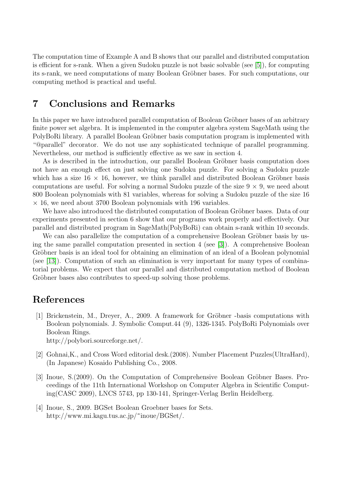The computation time of Example A and B shows that our parallel and distributed computation is efficient for s-rank. When a given Sudoku puzzle is not basic solvable (see [5]), for computing its s-rank, we need computations of many Boolean Gröbner bases. For such computations, our computing method is practical and useful.

## **7 Conclusions and Remarks**

In this paper we have introduced parallel computation of Boolean Gröbner bases of an arbitrary finite power set algebra. It is implemented in the computer algebra system SageMath using the PolyBoRi library. A parallel Boolean Gröbner basis computation program is implemented with "@parallel" decorator. We do not use any sophisticated technique of parallel programming. Nevertheless, our method is sufficiently effective as we saw in section 4.

As is described in the introduction, our parallel Boolean Gröbner basis computation does not have an enough effect on just solving one Sudoku puzzle. For solving a Sudoku puzzle which has a size  $16 \times 16$ , however, we think parallel and distributed Boolean Gröbner basis computations are useful. For solving a normal Sudoku puzzle of the size  $9 \times 9$ , we need about 800 Boolean polynomials with 81 variables, whereas for solving a Sudoku puzzle of the size 16 *×* 16, we need about 3700 Boolean polynomials with 196 variables.

We have also introduced the distributed computation of Boolean Gröbner bases. Data of our experiments presented in section 6 show that our programs work properly and effectively. Our parallel and distributed program in SageMath(PolyBoRi) can obtain s-rank within 10 seconds.

We can also parallelize the computation of a comprehensive Boolean Gröbner basis by using the same parallel computation presented in section 4 (see [3]). A comprehensive Boolean Gröbner basis is an ideal tool for obtaining an elimination of an ideal of a Boolean polynomial (see [13]). Computation of such an elimination is very important for many types of combinatorial problems. We expect that our parallel and distributed c[om](#page-8-2)putation method of Boolean Gröbner bases also contributes to speed-up solving those problems.

# **References**

- [1] Brickenstein, M., Dreyer, A., 2009. A framework for Gröbner -basis computations with Boolean polynomials. J. Symbolic Comput.44 (9), 1326-1345. PolyBoRi Polynomials over Boolean Rings. http://polybori.sourceforge.net/.
- <span id="page-8-1"></span>[2] Gohnai,K., and Cross Word editorial desk.(2008). Number Placement Puzzles(UltraHard), (In Japanese) Kosaido Publishing Co., 2008.
- [3] Inoue, S.(2009). On the Computation of Comprehensive Boolean Gröbner Bases. Proceedings of the 11th International Workshop on Computer Algebra in Scientific Computing(CASC 2009), LNCS 5743, pp 130-141, Springer-Verlag Berlin Heidelberg.
- <span id="page-8-2"></span><span id="page-8-0"></span>[4] Inoue, S., 2009. BGSet Boolean Groebner bases for Sets. http://www.mi.kagu.tus.ac.jp/~inoue/BGSet/.